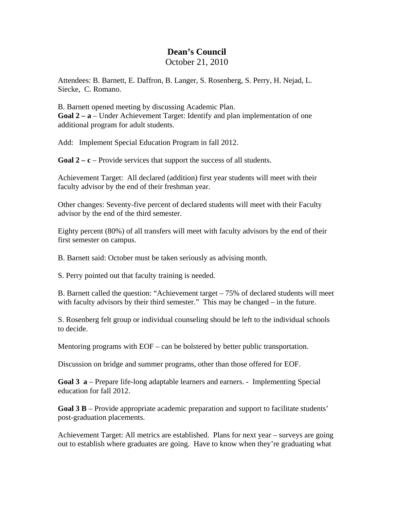## **Dean's Council**  October 21, 2010

Attendees: B. Barnett, E. Daffron, B. Langer, S. Rosenberg, S. Perry, H. Nejad, L. Siecke, C. Romano.

B. Barnett opened meeting by discussing Academic Plan. **Goal 2 – a** – Under Achievement Target: Identify and plan implementation of one additional program for adult students.

Add: Implement Special Education Program in fall 2012.

**Goal**  $2 - c$  – Provide services that support the success of all students.

Achievement Target: All declared (addition) first year students will meet with their faculty advisor by the end of their freshman year.

Other changes: Seventy-five percent of declared students will meet with their Faculty advisor by the end of the third semester.

Eighty percent (80%) of all transfers will meet with faculty advisors by the end of their first semester on campus.

B. Barnett said: October must be taken seriously as advising month.

S. Perry pointed out that faculty training is needed.

B. Barnett called the question: "Achievement target – 75% of declared students will meet with faculty advisors by their third semester." This may be changed – in the future.

S. Rosenberg felt group or individual counseling should be left to the individual schools to decide.

Mentoring programs with EOF – can be bolstered by better public transportation.

Discussion on bridge and summer programs, other than those offered for EOF.

**Goal 3 a** – Prepare life-long adaptable learners and earners. - Implementing Special education for fall 2012.

**Goal 3 B** – Provide appropriate academic preparation and support to facilitate students' post-graduation placements.

Achievement Target: All metrics are established. Plans for next year – surveys are going out to establish where graduates are going. Have to know when they're graduating what